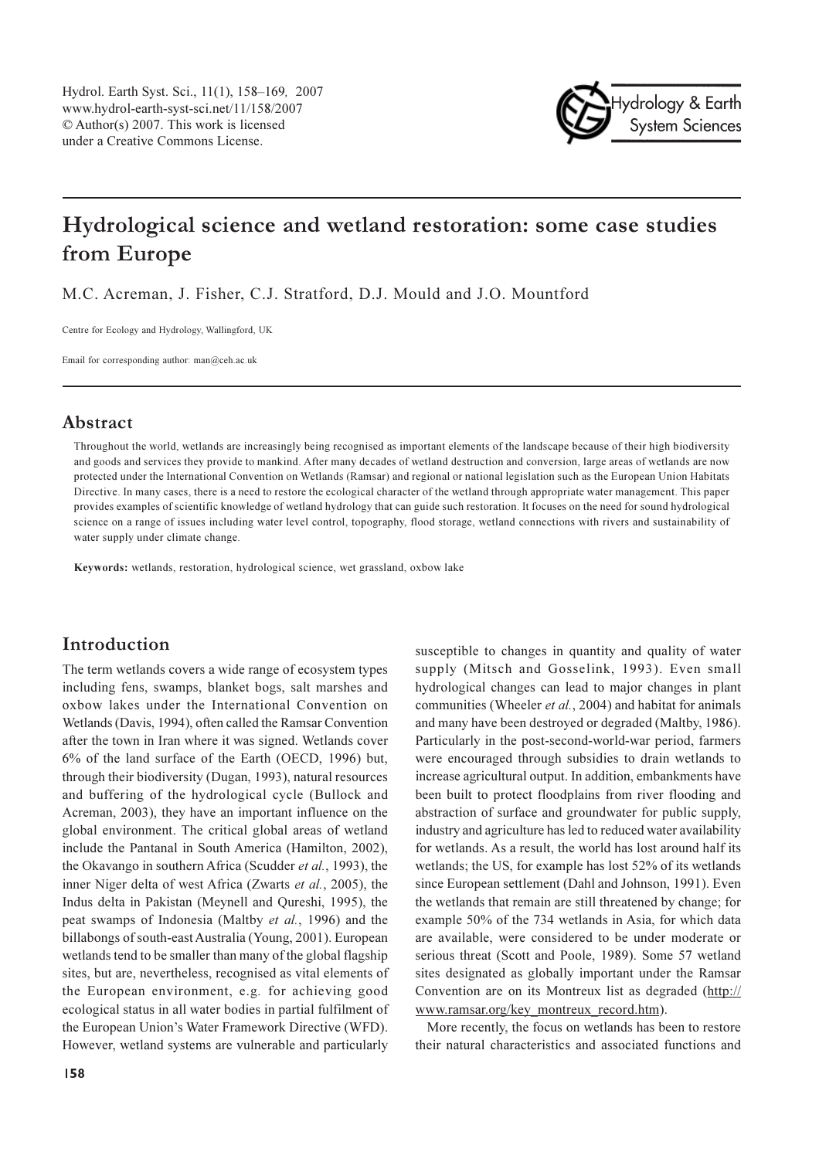

# Hydrological science and wetland restoration: some case studies from Europe

M.C. Acreman, J. Fisher, C.J. Stratford, D.J. Mould and J.O. Mountford

Centre for Ecology and Hydrology, Wallingford, UK

Email for corresponding author:  $man@ceh.ac.uk$ 

#### **Abstract**

Throughout the world, wetlands are increasingly being recognised as important elements of the landscape because of their high biodiversity and goods and services they provide to mankind. After many decades of wetland destruction and conversion, large areas of wetlands are now protected under the International Convention on Wetlands (Ramsar) and regional or national legislation such as the European Union Habitats Directive. In many cases, there is a need to restore the ecological character of the wetland through appropriate water management. This paper provides examples of scientific knowledge of wetland hydrology that can guide such restoration. It focuses on the need for sound hydrological science on a range of issues including water level control, topography, flood storage, wetland connections with rivers and sustainability of water supply under climate change.

Keywords: wetlands, restoration, hydrological science, wet grassland, oxbow lake

#### Introduction

The term wetlands covers a wide range of ecosystem types including fens, swamps, blanket bogs, salt marshes and oxbow lakes under the International Convention on Wetlands (Davis, 1994), often called the Ramsar Convention after the town in Iran where it was signed. Wetlands cover 6% of the land surface of the Earth (OECD, 1996) but, through their biodiversity (Dugan, 1993), natural resources and buffering of the hydrological cycle (Bullock and Acreman, 2003), they have an important influence on the global environment. The critical global areas of wetland include the Pantanal in South America (Hamilton, 2002), the Okavango in southern Africa (Scudder et al., 1993), the inner Niger delta of west Africa (Zwarts et al., 2005), the Indus delta in Pakistan (Meynell and Qureshi, 1995), the peat swamps of Indonesia (Maltby et al., 1996) and the billabongs of south-east Australia (Young, 2001). European wetlands tend to be smaller than many of the global flagship sites, but are, nevertheless, recognised as vital elements of the European environment, e.g. for achieving good ecological status in all water bodies in partial fulfilment of the European Union's Water Framework Directive (WFD). However, wetland systems are vulnerable and particularly

susceptible to changes in quantity and quality of water supply (Mitsch and Gosselink, 1993). Even small hydrological changes can lead to major changes in plant communities (Wheeler et al., 2004) and habitat for animals and many have been destroyed or degraded (Maltby, 1986). Particularly in the post-second-world-war period, farmers were encouraged through subsidies to drain wetlands to increase agricultural output. In addition, embankments have been built to protect floodplains from river flooding and abstraction of surface and groundwater for public supply, industry and agriculture has led to reduced water availability for wetlands. As a result, the world has lost around half its wetlands; the US, for example has lost 52% of its wetlands since European settlement (Dahl and Johnson, 1991). Even the wetlands that remain are still threatened by change; for example 50% of the 734 wetlands in Asia, for which data are available, were considered to be under moderate or serious threat (Scott and Poole, 1989). Some 57 wetland sites designated as globally important under the Ramsar Convention are on its Montreux list as degraded (http:// www.ramsar.org/key montreux record.htm).

More recently, the focus on wetlands has been to restore their natural characteristics and associated functions and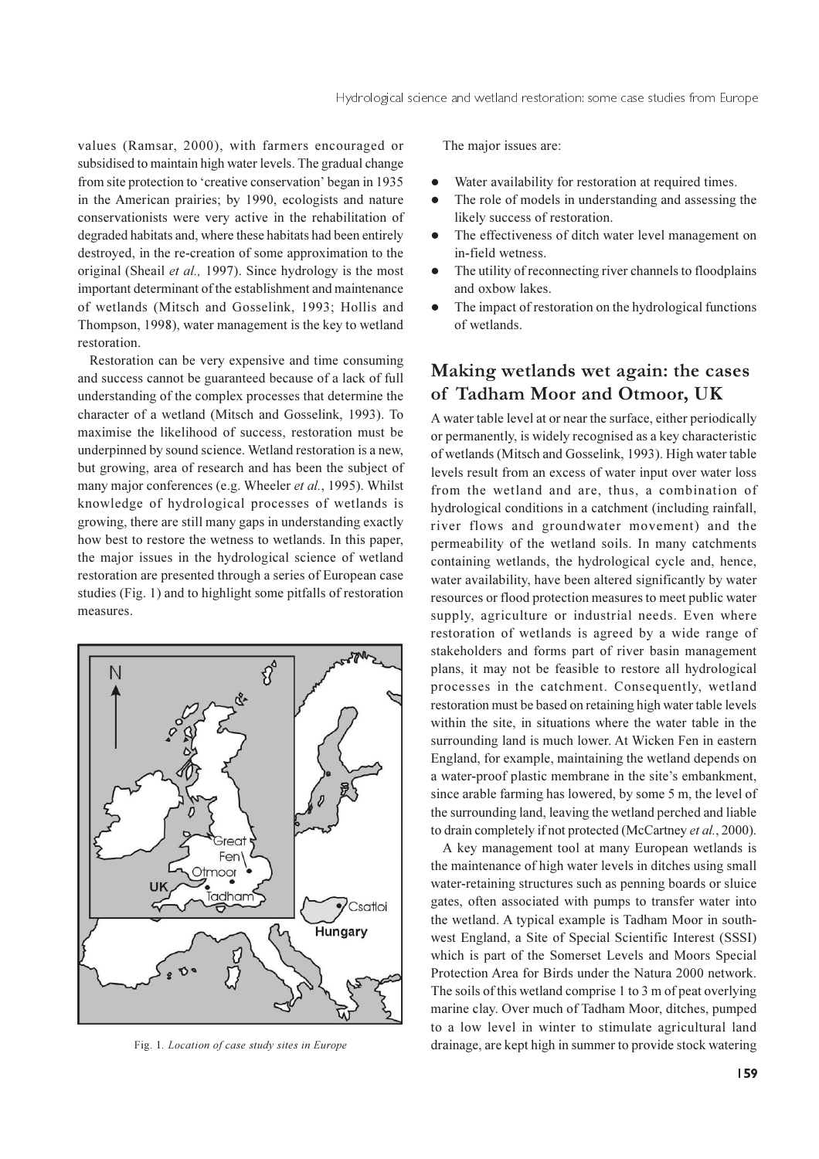values (Ramsar, 2000), with farmers encouraged or subsidised to maintain high water levels. The gradual change from site protection to 'creative conservation' began in 1935 in the American prairies; by 1990, ecologists and nature conservationists were very active in the rehabilitation of degraded habitats and, where these habitats had been entirely destroyed, in the re-creation of some approximation to the original (Sheail et al., 1997). Since hydrology is the most important determinant of the establishment and maintenance of wetlands (Mitsch and Gosselink, 1993; Hollis and Thompson, 1998), water management is the key to wetland restoration.

Restoration can be very expensive and time consuming and success cannot be guaranteed because of a lack of full understanding of the complex processes that determine the character of a wetland (Mitsch and Gosselink, 1993). To maximise the likelihood of success, restoration must be underpinned by sound science. Wetland restoration is a new, but growing, area of research and has been the subject of many major conferences (e.g. Wheeler *et al.*, 1995). Whilst knowledge of hydrological processes of wetlands is growing, there are still many gaps in understanding exactly how best to restore the wetness to wetlands. In this paper, the major issues in the hydrological science of wetland restoration are presented through a series of European case studies (Fig. 1) and to highlight some pitfalls of restoration measures.



Fig. 1. Location of case study sites in Europe

The major issues are:

- Water availability for restoration at required times.
- The role of models in understanding and assessing the likely success of restoration.
- The effectiveness of ditch water level management on in-field wetness.
- The utility of reconnecting river channels to floodplains  $\bullet$ and oxbow lakes.
- The impact of restoration on the hydrological functions  $\bullet$ of wetlands.

### Making wetlands wet again: the cases of Tadham Moor and Otmoor, UK

A water table level at or near the surface, either periodically or permanently, is widely recognised as a key characteristic of wetlands (Mitsch and Gosselink, 1993). High water table levels result from an excess of water input over water loss from the wetland and are, thus, a combination of hydrological conditions in a catchment (including rainfall, river flows and groundwater movement) and the permeability of the wetland soils. In many catchments containing wetlands, the hydrological cycle and, hence, water availability, have been altered significantly by water resources or flood protection measures to meet public water supply, agriculture or industrial needs. Even where restoration of wetlands is agreed by a wide range of stakeholders and forms part of river basin management plans, it may not be feasible to restore all hydrological processes in the catchment. Consequently, wetland restoration must be based on retaining high water table levels within the site, in situations where the water table in the surrounding land is much lower. At Wicken Fen in eastern England, for example, maintaining the wetland depends on a water-proof plastic membrane in the site's embankment, since arable farming has lowered, by some 5 m, the level of the surrounding land, leaving the wetland perched and liable to drain completely if not protected (McCartney et al., 2000).

A key management tool at many European wetlands is the maintenance of high water levels in ditches using small water-retaining structures such as penning boards or sluice gates, often associated with pumps to transfer water into the wetland. A typical example is Tadham Moor in southwest England, a Site of Special Scientific Interest (SSSI) which is part of the Somerset Levels and Moors Special Protection Area for Birds under the Natura 2000 network. The soils of this wetland comprise 1 to 3 m of peat overlying marine clay. Over much of Tadham Moor, ditches, pumped to a low level in winter to stimulate agricultural land drainage, are kept high in summer to provide stock watering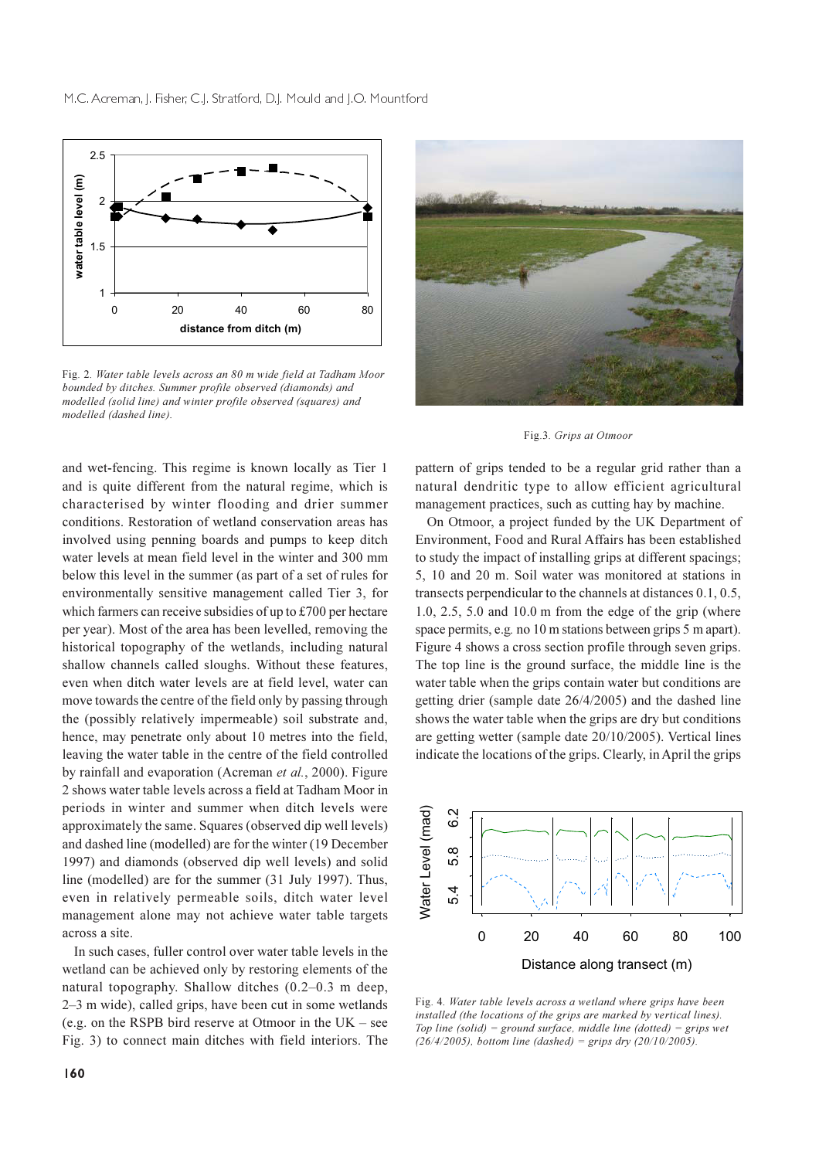

Fig. 2. Water table levels across an 80 m wide field at Tadham Moor bounded by ditches. Summer profile observed (diamonds) and modelled (solid line) and winter profile observed (squares) and modelled (dashed line).

and wet-fencing. This regime is known locally as Tier 1 and is quite different from the natural regime, which is characterised by winter flooding and drier summer conditions. Restoration of wetland conservation areas has involved using penning boards and pumps to keep ditch water levels at mean field level in the winter and 300 mm below this level in the summer (as part of a set of rules for environmentally sensitive management called Tier 3, for which farmers can receive subsidies of up to £700 per hectare per year). Most of the area has been levelled, removing the historical topography of the wetlands, including natural shallow channels called sloughs. Without these features, even when ditch water levels are at field level, water can move towards the centre of the field only by passing through the (possibly relatively impermeable) soil substrate and, hence, may penetrate only about 10 metres into the field, leaving the water table in the centre of the field controlled by rainfall and evaporation (Acreman et al., 2000). Figure 2 shows water table levels across a field at Tadham Moor in periods in winter and summer when ditch levels were approximately the same. Squares (observed dip well levels) and dashed line (modelled) are for the winter (19 December 1997) and diamonds (observed dip well levels) and solid line (modelled) are for the summer (31 July 1997). Thus, even in relatively permeable soils, ditch water level management alone may not achieve water table targets across a site.

In such cases, fuller control over water table levels in the wetland can be achieved only by restoring elements of the natural topography. Shallow ditches  $(0.2-0.3 \text{ m}$  deep, 2–3 m wide), called grips, have been cut in some wetlands (e.g. on the RSPB bird reserve at Otmoor in the  $UK - see$ Fig. 3) to connect main ditches with field interiors. The



pattern of grips tended to be a regular grid rather than a natural dendritic type to allow efficient agricultural management practices, such as cutting hay by machine.

On Otmoor, a project funded by the UK Department of Environment, Food and Rural Affairs has been established to study the impact of installing grips at different spacings; 5, 10 and 20 m. Soil water was monitored at stations in transects perpendicular to the channels at distances  $0.1, 0.5$ , 1.0, 2.5, 5.0 and 10.0 m from the edge of the grip (where space permits, e.g. no 10 m stations between grips 5 m apart). Figure 4 shows a cross section profile through seven grips. The top line is the ground surface, the middle line is the water table when the grips contain water but conditions are getting drier (sample date 26/4/2005) and the dashed line shows the water table when the grips are dry but conditions are getting wetter (sample date  $20/10/2005$ ). Vertical lines indicate the locations of the grips. Clearly, in April the grips



Fig. 4. Water table levels across a wetland where grips have been installed (the locations of the grips are marked by vertical lines). Top line (solid) = ground surface, middle line (dotted) = grips wet  $(26/4/2005)$ , bottom line (dashed) = grips dry (20/10/2005).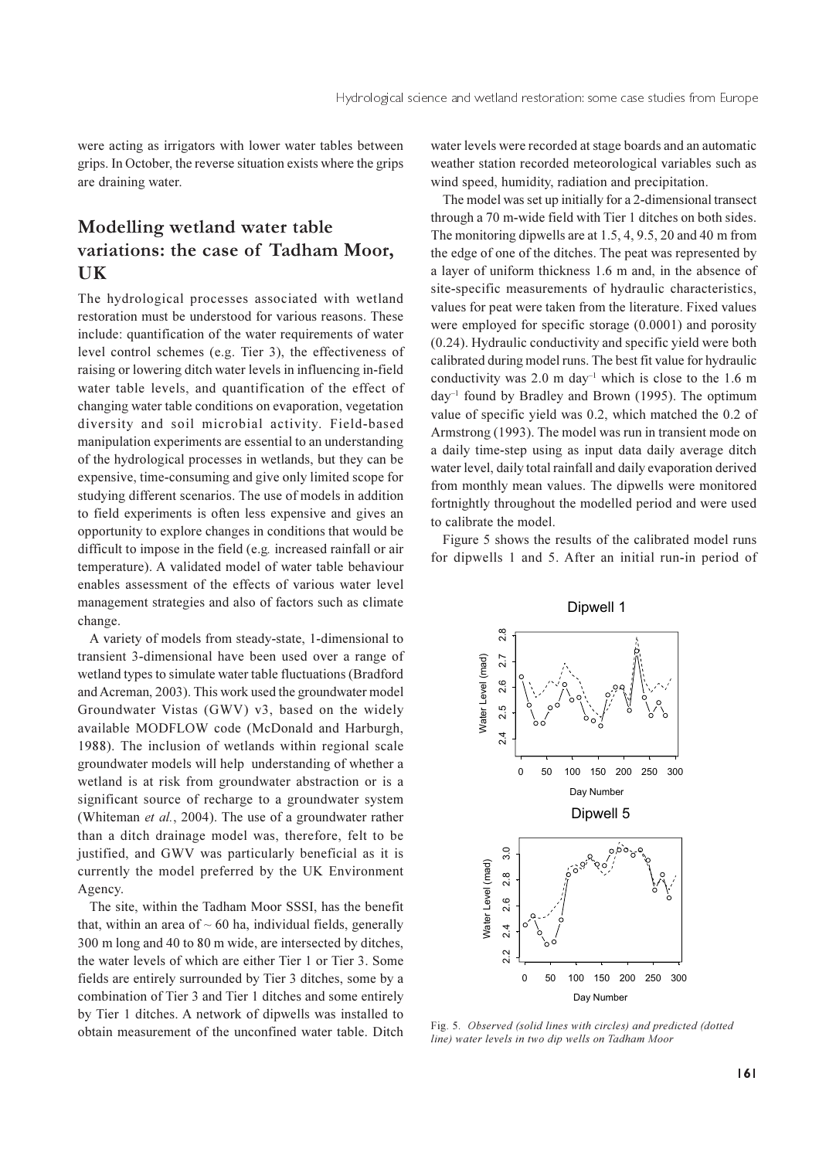were acting as irrigators with lower water tables between grips. In October, the reverse situation exists where the grips are draining water.

# Modelling wetland water table variations: the case of Tadham Moor. UK

The hydrological processes associated with wetland restoration must be understood for various reasons. These include: quantification of the water requirements of water level control schemes (e.g. Tier 3), the effectiveness of raising or lowering ditch water levels in influencing in-field water table levels, and quantification of the effect of changing water table conditions on evaporation, vegetation diversity and soil microbial activity. Field-based manipulation experiments are essential to an understanding of the hydrological processes in wetlands, but they can be expensive, time-consuming and give only limited scope for studying different scenarios. The use of models in addition to field experiments is often less expensive and gives an opportunity to explore changes in conditions that would be difficult to impose in the field (e.g. increased rainfall or air temperature). A validated model of water table behaviour enables assessment of the effects of various water level management strategies and also of factors such as climate change.

A variety of models from steady-state, 1-dimensional to transient 3-dimensional have been used over a range of wetland types to simulate water table fluctuations (Bradford and Acreman, 2003). This work used the groundwater model Groundwater Vistas (GWV) v3, based on the widely available MODFLOW code (McDonald and Harburgh, 1988). The inclusion of wetlands within regional scale groundwater models will help understanding of whether a wetland is at risk from groundwater abstraction or is a significant source of recharge to a groundwater system (Whiteman *et al.*, 2004). The use of a groundwater rather than a ditch drainage model was, therefore, felt to be justified, and GWV was particularly beneficial as it is currently the model preferred by the UK Environment Agency.

The site, within the Tadham Moor SSSI, has the benefit that, within an area of  $\sim 60$  ha, individual fields, generally 300 m long and 40 to 80 m wide, are intersected by ditches, the water levels of which are either Tier 1 or Tier 3. Some fields are entirely surrounded by Tier 3 ditches, some by a combination of Tier 3 and Tier 1 ditches and some entirely by Tier 1 ditches. A network of dipwells was installed to obtain measurement of the unconfined water table. Ditch

water levels were recorded at stage boards and an automatic weather station recorded meteorological variables such as wind speed, humidity, radiation and precipitation.

The model was set up initially for a 2-dimensional transect through a 70 m-wide field with Tier 1 ditches on both sides. The monitoring dipwells are at 1.5, 4, 9.5, 20 and 40 m from the edge of one of the ditches. The peat was represented by a layer of uniform thickness 1.6 m and, in the absence of site-specific measurements of hydraulic characteristics, values for peat were taken from the literature. Fixed values were employed for specific storage  $(0.0001)$  and porosity (0.24). Hydraulic conductivity and specific yield were both calibrated during model runs. The best fit value for hydraulic conductivity was  $2.0 \text{ m day}^{-1}$  which is close to the 1.6 m day<sup>-1</sup> found by Bradley and Brown (1995). The optimum value of specific yield was 0.2, which matched the 0.2 of Armstrong (1993). The model was run in transient mode on a daily time-step using as input data daily average ditch water level, daily total rainfall and daily evaporation derived from monthly mean values. The dipwells were monitored fortnightly throughout the modelled period and were used to calibrate the model.

Figure 5 shows the results of the calibrated model runs for dipwells 1 and 5. After an initial run-in period of



Fig. 5. Observed (solid lines with circles) and predicted (dotted line) water levels in two dip wells on Tadham Moor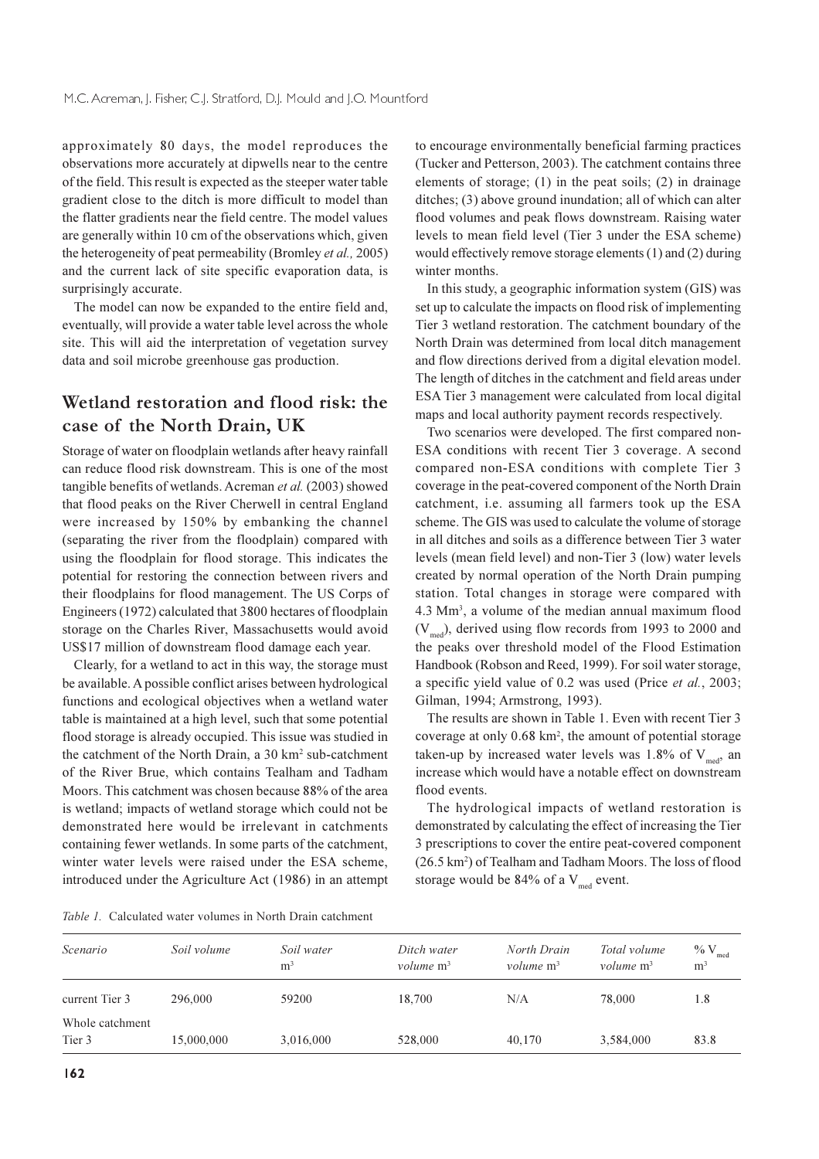approximately 80 days, the model reproduces the observations more accurately at dipwells near to the centre of the field. This result is expected as the steeper water table gradient close to the ditch is more difficult to model than the flatter gradients near the field centre. The model values are generally within 10 cm of the observations which, given the heterogeneity of peat permeability (Bromley *et al.*, 2005) and the current lack of site specific evaporation data, is surprisingly accurate.

The model can now be expanded to the entire field and, eventually, will provide a water table level across the whole site. This will aid the interpretation of vegetation survey data and soil microbe greenhouse gas production.

## Wetland restoration and flood risk: the case of the North Drain, UK

Storage of water on floodplain wetlands after heavy rainfall can reduce flood risk downstream. This is one of the most tangible benefits of wetlands. Acreman et al. (2003) showed that flood peaks on the River Cherwell in central England were increased by 150% by embanking the channel (separating the river from the floodplain) compared with using the floodplain for flood storage. This indicates the potential for restoring the connection between rivers and their floodplains for flood management. The US Corps of Engineers (1972) calculated that 3800 hectares of floodplain storage on the Charles River, Massachusetts would avoid US\$17 million of downstream flood damage each year.

Clearly, for a wetland to act in this way, the storage must be available. A possible conflict arises between hydrological functions and ecological objectives when a wetland water table is maintained at a high level, such that some potential flood storage is already occupied. This issue was studied in the catchment of the North Drain, a 30 km<sup>2</sup> sub-catchment of the River Brue, which contains Tealham and Tadham Moors. This catchment was chosen because 88% of the area is wetland; impacts of wetland storage which could not be demonstrated here would be irrelevant in catchments containing fewer wetlands. In some parts of the catchment, winter water levels were raised under the ESA scheme, introduced under the Agriculture Act (1986) in an attempt to encourage environmentally beneficial farming practices (Tucker and Petterson, 2003). The catchment contains three elements of storage;  $(1)$  in the peat soils;  $(2)$  in drainage ditches; (3) above ground inundation; all of which can alter flood volumes and peak flows downstream. Raising water levels to mean field level (Tier 3 under the ESA scheme) would effectively remove storage elements (1) and (2) during winter months.

In this study, a geographic information system (GIS) was set up to calculate the impacts on flood risk of implementing Tier 3 wetland restoration. The catchment boundary of the North Drain was determined from local ditch management and flow directions derived from a digital elevation model. The length of ditches in the catchment and field areas under ESA Tier 3 management were calculated from local digital maps and local authority payment records respectively.

Two scenarios were developed. The first compared non-ESA conditions with recent Tier 3 coverage. A second compared non-ESA conditions with complete Tier 3 coverage in the peat-covered component of the North Drain catchment, i.e. assuming all farmers took up the ESA scheme. The GIS was used to calculate the volume of storage in all ditches and soils as a difference between Tier 3 water levels (mean field level) and non-Tier 3 (low) water levels created by normal operation of the North Drain pumping station. Total changes in storage were compared with 4.3 Mm<sup>3</sup>, a volume of the median annual maximum flood  $(V_{\text{max}})$ , derived using flow records from 1993 to 2000 and the peaks over threshold model of the Flood Estimation Handbook (Robson and Reed, 1999). For soil water storage, a specific yield value of 0.2 was used (Price et al., 2003; Gilman, 1994; Armstrong, 1993).

The results are shown in Table 1. Even with recent Tier 3 coverage at only 0.68 km<sup>2</sup>, the amount of potential storage taken-up by increased water levels was 1.8% of  $V_{mod}$  and increase which would have a notable effect on downstream flood events.

The hydrological impacts of wetland restoration is demonstrated by calculating the effect of increasing the Tier 3 prescriptions to cover the entire peat-covered component (26.5 km<sup>2</sup>) of Tealham and Tadham Moors. The loss of flood storage would be 84% of a  $V_{\text{med}}$  event.

Table 1. Calculated water volumes in North Drain catchment

| Scenario                  | Soil volume | Soil water<br>m <sup>3</sup> | Ditch water<br>volume $m^3$ | North Drain<br><i>volume</i> $m^3$ | Total volume<br><i>volume</i> $m^3$ | $\%$ V <sub>med</sub><br>m <sup>3</sup> |
|---------------------------|-------------|------------------------------|-----------------------------|------------------------------------|-------------------------------------|-----------------------------------------|
| current Tier 3            | 296,000     | 59200                        | 18,700                      | N/A                                | 78,000                              | 1.8                                     |
| Whole catchment<br>Tier 3 | 15,000,000  | 3,016,000                    | 528,000                     | 40.170                             | 3,584,000                           | 83.8                                    |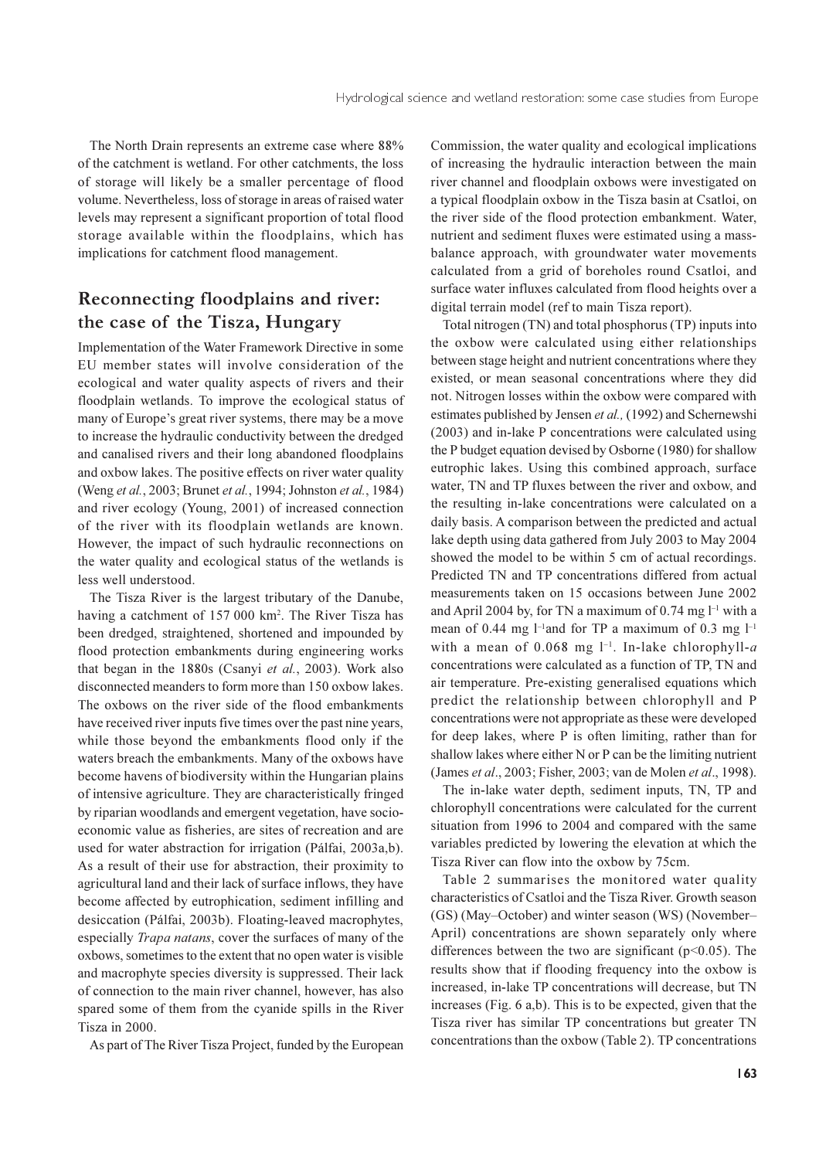The North Drain represents an extreme case where 88% of the catchment is wetland. For other catchments, the loss of storage will likely be a smaller percentage of flood volume. Nevertheless, loss of storage in areas of raised water levels may represent a significant proportion of total flood storage available within the floodplains, which has implications for catchment flood management.

# Reconnecting floodplains and river: the case of the Tisza, Hungary

Implementation of the Water Framework Directive in some EU member states will involve consideration of the ecological and water quality aspects of rivers and their floodplain wetlands. To improve the ecological status of many of Europe's great river systems, there may be a move to increase the hydraulic conductivity between the dredged and canalised rivers and their long abandoned floodplains and oxbow lakes. The positive effects on river water quality (Weng et al., 2003; Brunet et al., 1994; Johnston et al., 1984) and river ecology (Young, 2001) of increased connection of the river with its floodplain wetlands are known. However, the impact of such hydraulic reconnections on the water quality and ecological status of the wetlands is less well understood.

The Tisza River is the largest tributary of the Danube, having a catchment of 157 000 km<sup>2</sup>. The River Tisza has been dredged, straightened, shortened and impounded by flood protection embankments during engineering works that began in the 1880s (Csanyi et al., 2003). Work also disconnected meanders to form more than 150 oxbow lakes. The oxbows on the river side of the flood embankments have received river inputs five times over the past nine years, while those beyond the embankments flood only if the waters breach the embankments. Many of the oxbows have become havens of biodiversity within the Hungarian plains of intensive agriculture. They are characteristically fringed by riparian woodlands and emergent vegetation, have socioeconomic value as fisheries, are sites of recreation and are used for water abstraction for irrigation (Pálfai, 2003a,b). As a result of their use for abstraction, their proximity to agricultural land and their lack of surface inflows, they have become affected by eutrophication, sediment infilling and desiccation (Pálfai, 2003b). Floating-leaved macrophytes, especially *Trapa natans*, cover the surfaces of many of the oxbows, sometimes to the extent that no open water is visible and macrophyte species diversity is suppressed. Their lack of connection to the main river channel, however, has also spared some of them from the cyanide spills in the River Tisza in 2000.

As part of The River Tisza Project, funded by the European

Commission, the water quality and ecological implications of increasing the hydraulic interaction between the main river channel and floodplain oxbows were investigated on a typical floodplain oxbow in the Tisza basin at Csatloi, on the river side of the flood protection embankment. Water, nutrient and sediment fluxes were estimated using a massbalance approach, with groundwater water movements calculated from a grid of boreholes round Csatloi, and surface water influxes calculated from flood heights over a digital terrain model (ref to main Tisza report).

Total nitrogen (TN) and total phosphorus (TP) inputs into the oxbow were calculated using either relationships between stage height and nutrient concentrations where they existed, or mean seasonal concentrations where they did not. Nitrogen losses within the oxbow were compared with estimates published by Jensen et al., (1992) and Schernewshi (2003) and in-lake P concentrations were calculated using the P budget equation devised by Osborne (1980) for shallow eutrophic lakes. Using this combined approach, surface water, TN and TP fluxes between the river and oxbow, and the resulting in-lake concentrations were calculated on a daily basis. A comparison between the predicted and actual lake depth using data gathered from July 2003 to May 2004 showed the model to be within 5 cm of actual recordings. Predicted TN and TP concentrations differed from actual measurements taken on 15 occasions between June 2002 and April 2004 by, for TN a maximum of 0.74 mg  $l^{-1}$  with a mean of 0.44 mg l<sup>-1</sup> and for TP a maximum of 0.3 mg l<sup>-1</sup> with a mean of 0.068 mg  $l^{-1}$ . In-lake chlorophyll-a concentrations were calculated as a function of TP, TN and air temperature. Pre-existing generalised equations which predict the relationship between chlorophyll and P concentrations were not appropriate as these were developed for deep lakes, where P is often limiting, rather than for shallow lakes where either N or P can be the limiting nutrient (James et al., 2003; Fisher, 2003; van de Molen et al., 1998).

The in-lake water depth, sediment inputs, TN, TP and chlorophyll concentrations were calculated for the current situation from 1996 to 2004 and compared with the same variables predicted by lowering the elevation at which the Tisza River can flow into the oxbow by 75cm.

Table 2 summarises the monitored water quality characteristics of Csatloi and the Tisza River. Growth season (GS) (May–October) and winter season (WS) (November– April) concentrations are shown separately only where differences between the two are significant ( $p<0.05$ ). The results show that if flooding frequency into the oxbow is increased, in-lake TP concentrations will decrease, but TN increases (Fig. 6 a,b). This is to be expected, given that the Tisza river has similar TP concentrations but greater TN concentrations than the oxbow (Table 2). TP concentrations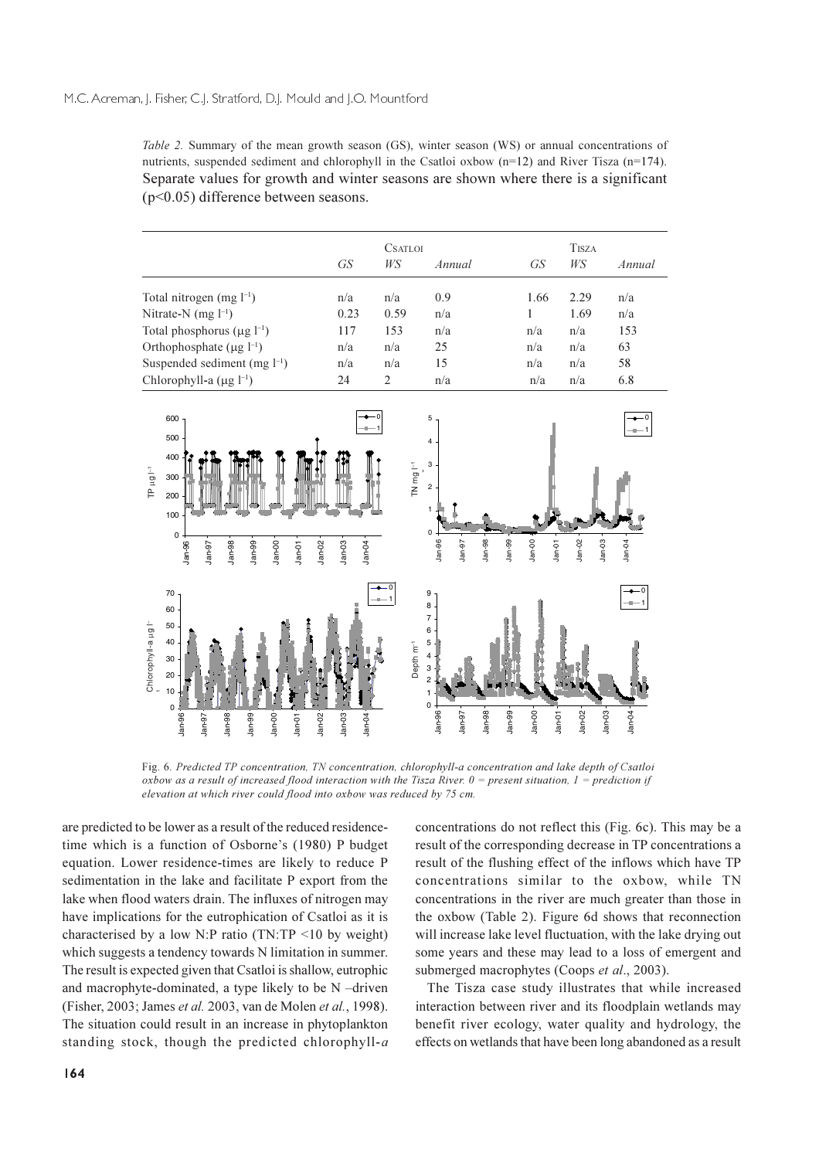Table 2. Summary of the mean growth season (GS), winter season (WS) or annual concentrations of nutrients, suspended sediment and chlorophyll in the Csatloi oxbow  $(n=12)$  and River Tisza  $(n=174)$ . Separate values for growth and winter seasons are shown where there is a significant  $(p<0.05)$  difference between seasons.

|                                                                                                                                                                             |          | <b>CSATLOI</b>             |                                                                                        |                                | <b>TISZA</b>       |        |
|-----------------------------------------------------------------------------------------------------------------------------------------------------------------------------|----------|----------------------------|----------------------------------------------------------------------------------------|--------------------------------|--------------------|--------|
|                                                                                                                                                                             | GS       | $W\!S$                     | Annual                                                                                 | GS                             | WS                 | Annual |
| Total nitrogen (mg l <sup>-1</sup> )                                                                                                                                        |          | $\mathrm{n}/\mathrm{a}$    | 0.9                                                                                    | 1.66                           | 2.29               | n/a    |
| Nitrate-N $(mg l^{-1})$                                                                                                                                                     |          | 0.59                       | n/a                                                                                    | 1                              | 1.69               | n/a    |
| Total phosphorus ( $\mu$ g l <sup>-1</sup> )                                                                                                                                |          | 153                        | n/a                                                                                    | n/a                            | n/a                | 153    |
| Orthophosphate ( $\mu$ g l <sup>-1</sup> )                                                                                                                                  |          | n/a                        | 25                                                                                     | n/a                            | n/a                | 63     |
| Suspended sediment (mg l <sup>-1</sup> )                                                                                                                                    |          | n/a                        | 15                                                                                     | n/a                            | n/a                | 58     |
| Chlorophyll-a $(\mu g I^{-1})$                                                                                                                                              |          | $\mathfrak{2}$             | n/a                                                                                    | n/a                            | n/a                | 6.8    |
| 600<br>500<br>400<br>TP $\mu$ g $\vdash$ <sup>1</sup><br>300<br>200<br>100<br>$\mathsf 0$<br>$Jan-96$<br>$Jan-99$<br>$Jan-00$<br>$Jan-98$<br>$Jan-02$<br>$Jan-97$<br>Jan-01 | $Jan-03$ | TN mg $I^{-1}$<br>$Jan-04$ | 5<br>4<br>3<br>$\overline{\mathbf{c}}$<br>1<br>0<br>$Jan-96$<br>$Jan-98$<br>$Jan-97$   | Jan-99<br>Jan-00<br>Jan-01     | Jan-02<br>$Jan-03$ | Jan-04 |
| 70<br>60<br>Chlorophyll-a µg I-<br>50<br>40<br>30<br>20<br>10<br>0                                                                                                          |          | Depth <sub>m-1</sub>       | 9<br>8<br>$\overline{7}$<br>6<br>5<br>3<br>$\overline{c}$<br>$\mathbf{1}$<br>$\pmb{0}$ |                                |                    |        |
| $Jan-96$<br>$Jan-00$<br>$Jan-02$<br>$Jan-98$<br>$Jan-99$<br>$Jan-97$<br>$Jan-01$                                                                                            | $Jan-03$ | $Jan-04$                   | Jan-96<br>Jan-98<br>$Jan-97$                                                           | $Jan-99$<br>$Jan-00$<br>Jan-01 | Jan-03<br>Jan-02   | Jan-04 |

Fig. 6. Predicted TP concentration, TN concentration, chlorophyll-a concentration and lake depth of Csatloi oxbow as a result of increased flood interaction with the Tisza River.  $0 =$  present situation,  $1 =$  prediction if elevation at which river could flood into oxbow was reduced by 75 cm.

are predicted to be lower as a result of the reduced residencetime which is a function of Osborne's (1980) P budget equation. Lower residence-times are likely to reduce P sedimentation in the lake and facilitate P export from the lake when flood waters drain. The influxes of nitrogen may have implications for the eutrophication of Csatloi as it is characterised by a low N:P ratio (TN:TP  $\leq 10$  by weight) which suggests a tendency towards N limitation in summer. The result is expected given that Csatloi is shallow, eutrophic and macrophyte-dominated, a type likely to be N-driven (Fisher, 2003; James et al. 2003, van de Molen et al., 1998). The situation could result in an increase in phytoplankton standing stock, though the predicted chlorophyll- $a$ 

concentrations do not reflect this (Fig. 6c). This may be a result of the corresponding decrease in TP concentrations a result of the flushing effect of the inflows which have TP concentrations similar to the oxbow, while TN concentrations in the river are much greater than those in the oxbow (Table 2). Figure 6d shows that reconnection will increase lake level fluctuation, with the lake drying out some years and these may lead to a loss of emergent and submerged macrophytes (Coops et al., 2003).

The Tisza case study illustrates that while increased interaction between river and its floodplain wetlands may benefit river ecology, water quality and hydrology, the effects on wetlands that have been long abandoned as a result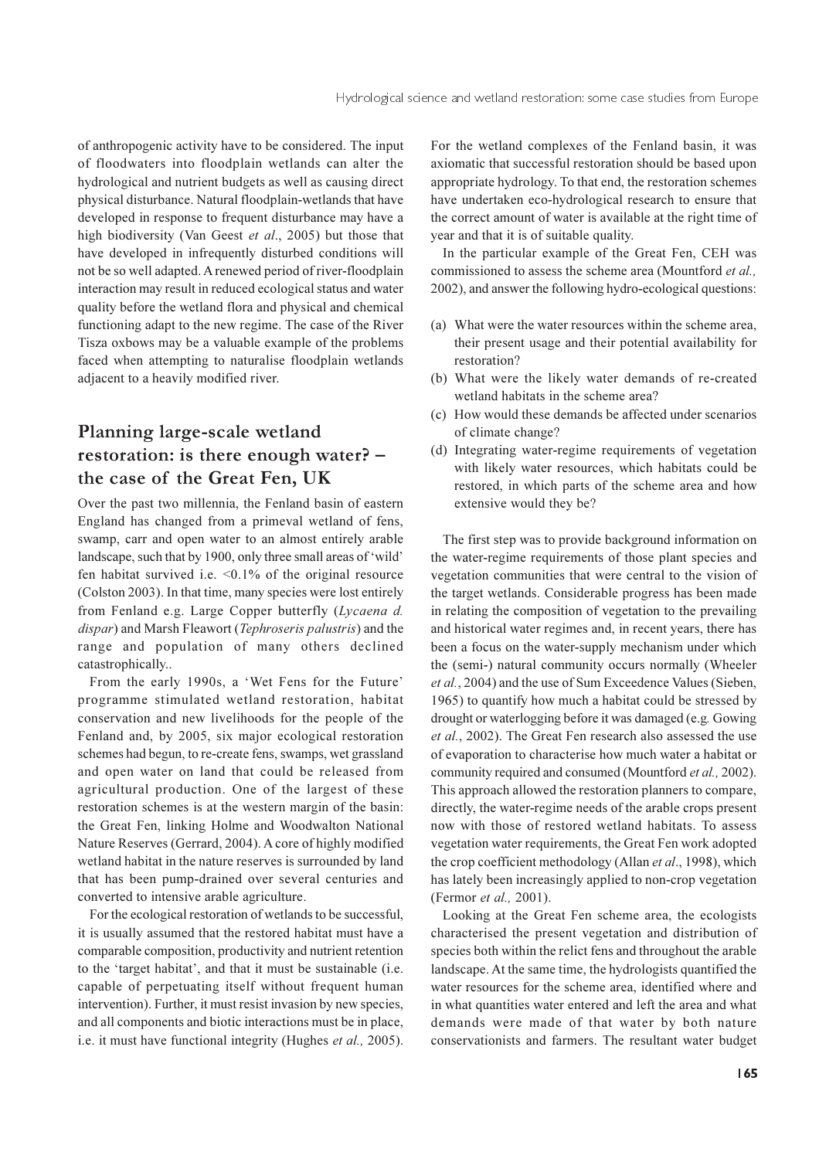of anthropogenic activity have to be considered. The input of floodwaters into floodplain wetlands can alter the hydrological and nutrient budgets as well as causing direct physical disturbance. Natural floodplain-wetlands that have developed in response to frequent disturbance may have a high biodiversity (Van Geest et al., 2005) but those that have developed in infrequently disturbed conditions will not be so well adapted. A renewed period of river-floodplain interaction may result in reduced ecological status and water quality before the wetland flora and physical and chemical functioning adapt to the new regime. The case of the River Tisza oxbows may be a valuable example of the problems faced when attempting to naturalise floodplain wetlands adjacent to a heavily modified river.

# Planning large-scale wetland restoration: is there enough water? the case of the Great Fen, UK

Over the past two millennia, the Fenland basin of eastern England has changed from a primeval wetland of fens. swamp, carr and open water to an almost entirely arable landscape, such that by 1900, only three small areas of 'wild' fen habitat survived i.e.  $\leq 0.1\%$  of the original resource (Colston 2003). In that time, many species were lost entirely from Fenland e.g. Large Copper butterfly (Lycaena d. *dispar*) and Marsh Fleawort (*Tephroseris palustris*) and the range and population of many others declined catastrophically...

From the early 1990s, a 'Wet Fens for the Future' programme stimulated wetland restoration, habitat conservation and new livelihoods for the people of the Fenland and, by 2005, six major ecological restoration schemes had begun, to re-create fens, swamps, wet grassland and open water on land that could be released from agricultural production. One of the largest of these restoration schemes is at the western margin of the basin: the Great Fen, linking Holme and Woodwalton National Nature Reserves (Gerrard, 2004). A core of highly modified wetland habitat in the nature reserves is surrounded by land that has been pump-drained over several centuries and converted to intensive arable agriculture.

For the ecological restoration of wetlands to be successful, it is usually assumed that the restored habitat must have a comparable composition, productivity and nutrient retention to the 'target habitat', and that it must be sustainable (i.e. capable of perpetuating itself without frequent human intervention). Further, it must resist invasion by new species. and all components and biotic interactions must be in place, i.e. it must have functional integrity (Hughes et al., 2005).

For the wetland complexes of the Fenland basin, it was axiomatic that successful restoration should be based upon appropriate hydrology. To that end, the restoration schemes have undertaken eco-hydrological research to ensure that the correct amount of water is available at the right time of vear and that it is of suitable quality.

In the particular example of the Great Fen, CEH was commissioned to assess the scheme area (Mountford et al., 2002), and answer the following hydro-ecological questions:

- (a) What were the water resources within the scheme area, their present usage and their potential availability for restoration?
- (b) What were the likely water demands of re-created wetland habitats in the scheme area?
- (c) How would these demands be affected under scenarios of climate change?
- (d) Integrating water-regime requirements of vegetation with likely water resources, which habitats could be restored, in which parts of the scheme area and how extensive would they be?

The first step was to provide background information on the water-regime requirements of those plant species and vegetation communities that were central to the vision of the target wetlands. Considerable progress has been made in relating the composition of vegetation to the prevailing and historical water regimes and, in recent years, there has been a focus on the water-supply mechanism under which the (semi-) natural community occurs normally (Wheeler et al., 2004) and the use of Sum Exceedence Values (Sieben, 1965) to quantify how much a habitat could be stressed by drought or waterlogging before it was damaged (e.g. Gowing et al., 2002). The Great Fen research also assessed the use of evaporation to characterise how much water a habitat or community required and consumed (Mountford et al., 2002). This approach allowed the restoration planners to compare, directly, the water-regime needs of the arable crops present now with those of restored wetland habitats. To assess vegetation water requirements, the Great Fen work adopted the crop coefficient methodology (Allan et al., 1998), which has lately been increasingly applied to non-crop vegetation (Fermor et al., 2001).

Looking at the Great Fen scheme area, the ecologists characterised the present vegetation and distribution of species both within the relict fens and throughout the arable landscape. At the same time, the hydrologists quantified the water resources for the scheme area, identified where and in what quantities water entered and left the area and what demands were made of that water by both nature conservationists and farmers. The resultant water budget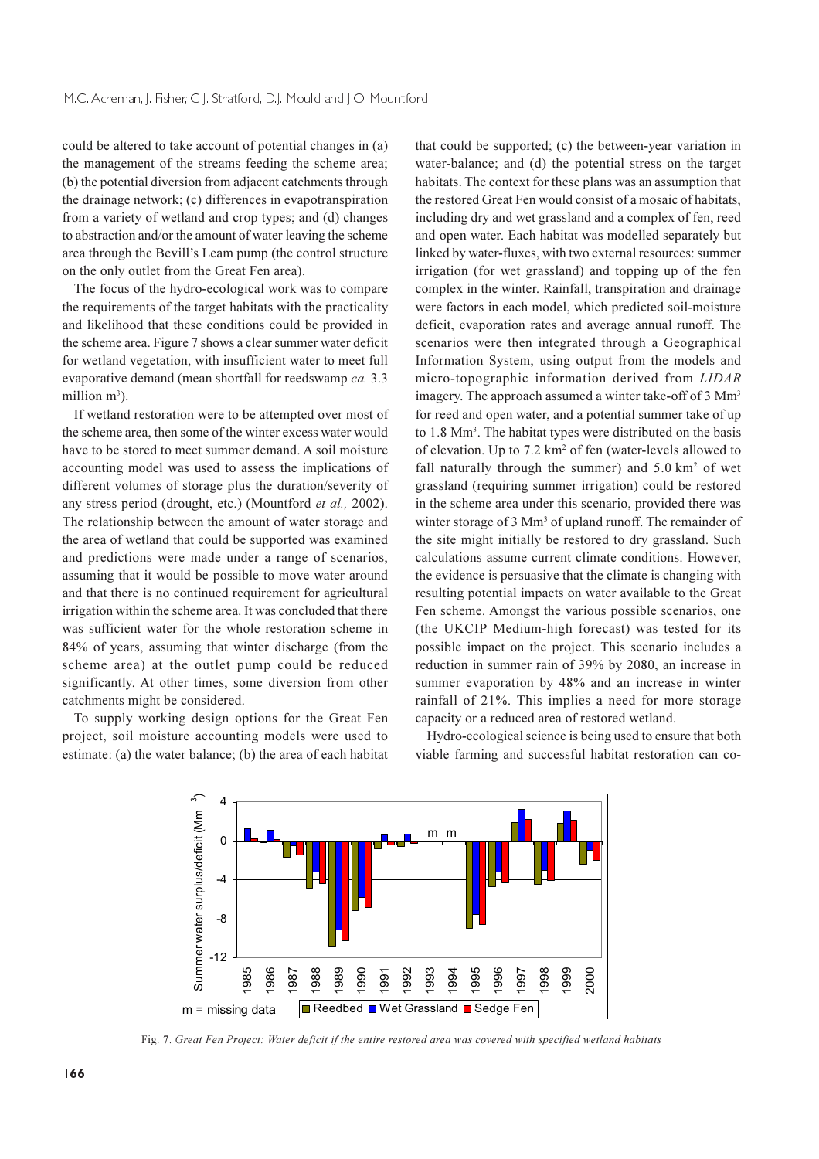could be altered to take account of potential changes in (a) the management of the streams feeding the scheme area; (b) the potential diversion from adjacent catchments through the drainage network; (c) differences in evapotranspiration from a variety of wetland and crop types; and (d) changes to abstraction and/or the amount of water leaving the scheme area through the Bevill's Leam pump (the control structure on the only outlet from the Great Fen area).

The focus of the hydro-ecological work was to compare the requirements of the target habitats with the practicality and likelihood that these conditions could be provided in the scheme area. Figure 7 shows a clear summer water deficit for wetland vegetation, with insufficient water to meet full evaporative demand (mean shortfall for reedswamp ca. 3.3) million  $m^3$ ).

If wetland restoration were to be attempted over most of the scheme area, then some of the winter excess water would have to be stored to meet summer demand. A soil moisture accounting model was used to assess the implications of different volumes of storage plus the duration/severity of any stress period (drought, etc.) (Mountford et al., 2002). The relationship between the amount of water storage and the area of wetland that could be supported was examined and predictions were made under a range of scenarios, assuming that it would be possible to move water around and that there is no continued requirement for agricultural irrigation within the scheme area. It was concluded that there was sufficient water for the whole restoration scheme in 84% of years, assuming that winter discharge (from the scheme area) at the outlet pump could be reduced significantly. At other times, some diversion from other catchments might be considered.

To supply working design options for the Great Fen project, soil moisture accounting models were used to estimate: (a) the water balance; (b) the area of each habitat that could be supported; (c) the between-year variation in water-balance; and (d) the potential stress on the target habitats. The context for these plans was an assumption that the restored Great Fen would consist of a mosaic of habitats, including dry and wet grassland and a complex of fen, reed and open water. Each habitat was modelled separately but linked by water-fluxes, with two external resources: summer irrigation (for wet grassland) and topping up of the fen complex in the winter. Rainfall, transpiration and drainage were factors in each model, which predicted soil-moisture deficit, evaporation rates and average annual runoff. The scenarios were then integrated through a Geographical Information System, using output from the models and micro-topographic information derived from LIDAR imagery. The approach assumed a winter take-off of 3 Mm<sup>3</sup> for reed and open water, and a potential summer take of up to 1.8 Mm<sup>3</sup>. The habitat types were distributed on the basis of elevation. Up to 7.2 km<sup>2</sup> of fen (water-levels allowed to fall naturally through the summer) and  $5.0 \text{ km}^2$  of wet grassland (requiring summer irrigation) could be restored in the scheme area under this scenario, provided there was winter storage of 3 Mm<sup>3</sup> of upland runoff. The remainder of the site might initially be restored to dry grassland. Such calculations assume current climate conditions. However, the evidence is persuasive that the climate is changing with resulting potential impacts on water available to the Great Fen scheme. Amongst the various possible scenarios, one (the UKCIP Medium-high forecast) was tested for its possible impact on the project. This scenario includes a reduction in summer rain of 39% by 2080, an increase in summer evaporation by 48% and an increase in winter rainfall of 21%. This implies a need for more storage capacity or a reduced area of restored wetland.

Hydro-ecological science is being used to ensure that both viable farming and successful habitat restoration can co-



Fig. 7. Great Fen Project: Water deficit if the entire restored area was covered with specified wetland habitats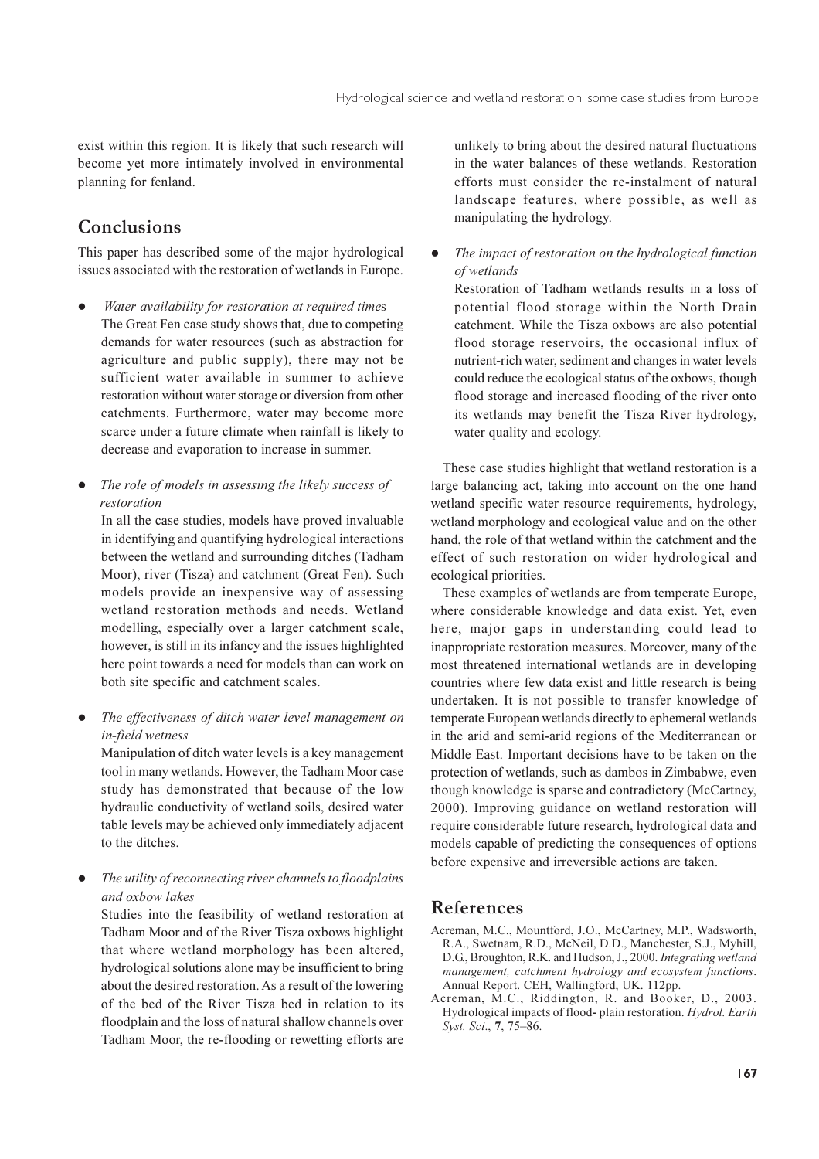exist within this region. It is likely that such research will become yet more intimately involved in environmental planning for fenland.

# Conclusions

This paper has described some of the major hydrological issues associated with the restoration of wetlands in Europe.

- Water availability for restoration at required times The Great Fen case study shows that, due to competing demands for water resources (such as abstraction for agriculture and public supply), there may not be sufficient water available in summer to achieve restoration without water storage or diversion from other catchments. Furthermore, water may become more scarce under a future climate when rainfall is likely to decrease and evaporation to increase in summer.
- The role of models in assessing the likely success of restoration

In all the case studies, models have proved invaluable in identifying and quantifying hydrological interactions between the wetland and surrounding ditches (Tadham Moor), river (Tisza) and catchment (Great Fen). Such models provide an inexpensive way of assessing wetland restoration methods and needs. Wetland modelling, especially over a larger catchment scale, however, is still in its infancy and the issues highlighted here point towards a need for models than can work on both site specific and catchment scales.

The effectiveness of ditch water level management on in-field wetness

Manipulation of ditch water levels is a key management tool in many wetlands. However, the Tadham Moor case study has demonstrated that because of the low hydraulic conductivity of wetland soils, desired water table levels may be achieved only immediately adjacent to the ditches.

The utility of reconnecting river channels to floodplains and oxbow lakes

Studies into the feasibility of wetland restoration at Tadham Moor and of the River Tisza oxbows highlight that where wetland morphology has been altered, hydrological solutions alone may be insufficient to bring about the desired restoration. As a result of the lowering of the bed of the River Tisza bed in relation to its floodplain and the loss of natural shallow channels over Tadham Moor, the re-flooding or rewetting efforts are

unlikely to bring about the desired natural fluctuations in the water balances of these wetlands. Restoration efforts must consider the re-instalment of natural landscape features, where possible, as well as manipulating the hydrology.

The impact of restoration on the hydrological function  $\bullet$ of wetlands

Restoration of Tadham wetlands results in a loss of potential flood storage within the North Drain catchment. While the Tisza oxbows are also potential flood storage reservoirs, the occasional influx of nutrient-rich water, sediment and changes in water levels could reduce the ecological status of the oxbows, though flood storage and increased flooding of the river onto its wetlands may benefit the Tisza River hydrology, water quality and ecology.

These case studies highlight that wetland restoration is a large balancing act, taking into account on the one hand wetland specific water resource requirements, hydrology, wetland morphology and ecological value and on the other hand, the role of that wetland within the catchment and the effect of such restoration on wider hydrological and ecological priorities.

These examples of wetlands are from temperate Europe, where considerable knowledge and data exist. Yet, even here, major gaps in understanding could lead to inappropriate restoration measures. Moreover, many of the most threatened international wetlands are in developing countries where few data exist and little research is being undertaken. It is not possible to transfer knowledge of temperate European wetlands directly to ephemeral wetlands in the arid and semi-arid regions of the Mediterranean or Middle East. Important decisions have to be taken on the protection of wetlands, such as dambos in Zimbabwe, even though knowledge is sparse and contradictory (McCartney, 2000). Improving guidance on wetland restoration will require considerable future research, hydrological data and models capable of predicting the consequences of options before expensive and irreversible actions are taken.

### **References**

- Acreman, M.C., Mountford, J.O., McCartney, M.P., Wadsworth, R.A., Swetnam, R.D., McNeil, D.D., Manchester, S.J., Myhill, D.G., Broughton, R.K. and Hudson, J., 2000. Integrating wetland management, catchment hydrology and ecosystem functions. Annual Report. CEH, Wallingford, UK. 112pp.
- Acreman, M.C., Riddington, R. and Booker, D., 2003. Hydrological impacts of flood-plain restoration. Hydrol. Earth Syst. Sci., 7, 75-86.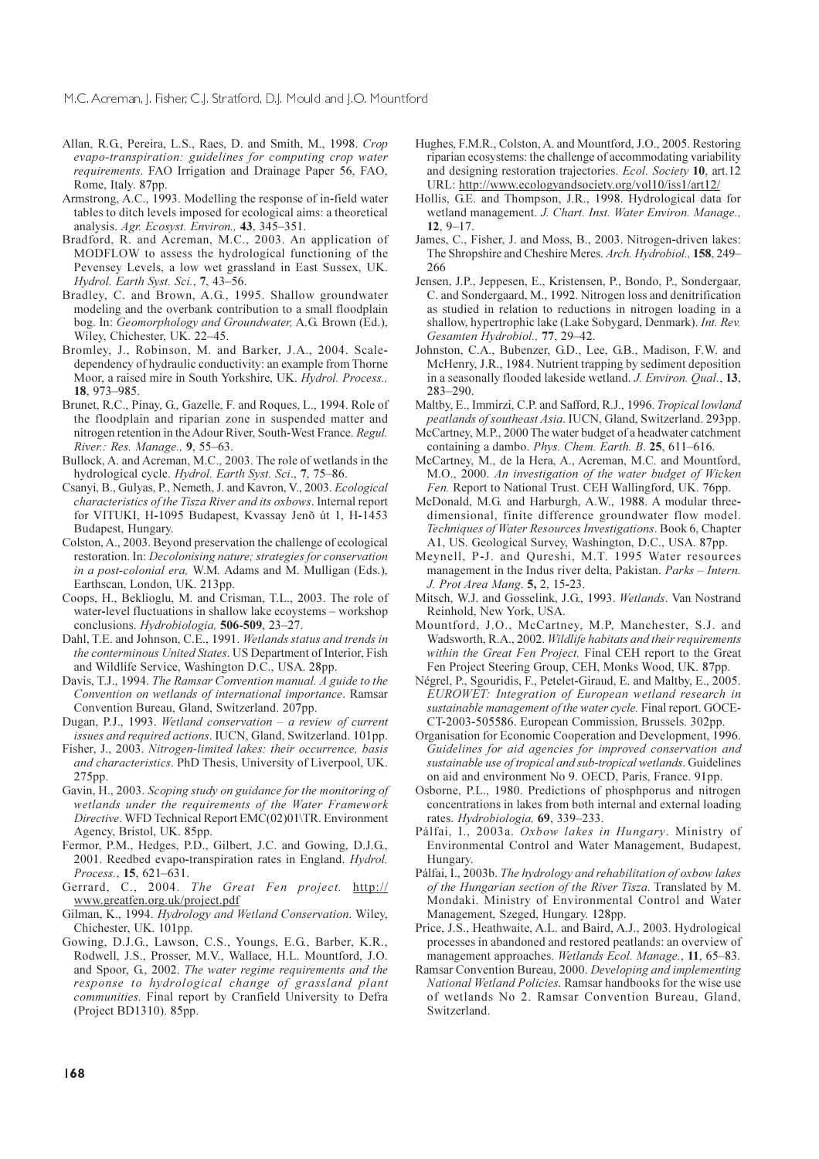- Allan, R.G., Pereira, L.S., Raes, D. and Smith, M., 1998. Crop evapo-transpiration: guidelines for computing crop water requirements. FAO Irrigation and Drainage Paper 56, FAO, Rome, Italy. 87pp.
- Armstrong, A.C., 1993. Modelling the response of in-field water tables to ditch levels imposed for ecological aims: a theoretical analysis. Agr. Ecosyst. Environ., 43, 345-351.
- Bradford, R. and Acreman, M.C., 2003. An application of MODFLOW to assess the hydrological functioning of the Pevensey Levels, a low wet grassland in East Sussex, UK. Hydrol. Earth Syst. Sci., 7, 43-56.
- Bradley, C. and Brown, A.G., 1995. Shallow groundwater modeling and the overbank contribution to a small floodplain bog. In: Geomorphology and Groundwater, A.G. Brown (Ed.), Wiley, Chichester, UK. 22-45.
- Bromley, J., Robinson, M. and Barker, J.A., 2004. Scaledependency of hydraulic conductivity: an example from Thorne Moor, a raised mire in South Yorkshire, UK. Hydrol. Process., 18 973 - 985
- Brunet, R.C., Pinay, G., Gazelle, F. and Roques, L., 1994. Role of the floodplain and riparian zone in suspended matter and nitrogen retention in the Adour River. South-West France. Regul. River.: Res. Manage., 9, 55-63.
- Bullock, A. and Acreman, M.C., 2003. The role of wetlands in the hydrological cycle. Hydrol. Earth Syst. Sci., 7, 75-86.
- Csanyi, B., Gulyas, P., Nemeth, J. and Kavron, V., 2003. Ecological characteristics of the Tisza River and its oxbows. Internal report for VITUKI, H-1095 Budapest, Kvassay Jenõ út 1, H-1453 Budapest, Hungary.
- Colston, A., 2003. Beyond preservation the challenge of ecological restoration. In: Decolonising nature: strategies for conservation in a post-colonial era, W.M. Adams and M. Mulligan (Eds.), Earthscan, London, UK. 213pp.
- Coops, H., Beklioglu, M. and Crisman, T.L., 2003. The role of water-level fluctuations in shallow lake ecoystems - workshop conclusions. Hydrobiologia, 506-509, 23-27.
- Dahl, T.E. and Johnson, C.E., 1991. Wetlands status and trends in the conterminous United States. US Department of Interior, Fish and Wildlife Service, Washington D.C., USA. 28pp.
- Davis, T.J., 1994. The Ramsar Convention manual. A guide to the Convention on wetlands of international importance. Ramsar Convention Bureau, Gland, Switzerland. 207pp.
- Dugan, P.J., 1993. Wetland conservation  $-$  a review of current issues and required actions. IUCN, Gland, Switzerland. 101pp.
- Fisher, J., 2003. Nitrogen-limited lakes: their occurrence, basis and characteristics. PhD Thesis, University of Liverpool, UK. 275pp.
- Gavin, H., 2003. Scoping study on guidance for the monitoring of wetlands under the requirements of the Water Framework Directive. WFD Technical Report EMC(02)01\TR. Environment Agency, Bristol, UK. 85pp.
- Fermor, P.M., Hedges, P.D., Gilbert, J.C. and Gowing, D.J.G., 2001. Reedbed evapo-transpiration rates in England. *Hydrol*. Process., 15, 621-631.
- Gerrard, C., 2004. The Great Fen project. http:// www.greatfen.org.uk/project.pdf
- Gilman, K., 1994. Hydrology and Wetland Conservation. Wiley, Chichester, UK. 101pp.
- Gowing, D.J.G., Lawson, C.S., Youngs, E.G., Barber, K.R., Rodwell, J.S., Prosser, M.V., Wallace, H.L. Mountford, J.O. and Spoor, G., 2002. The water regime requirements and the response to hydrological change of grassland plant communities. Final report by Cranfield University to Defra (Project BD1310). 85pp.
- Hughes, F.M.R., Colston, A. and Mountford, J.O., 2005. Restoring riparian ecosystems: the challenge of accommodating variability and designing restoration trajectories. Ecol. Society 10, art.12 URL: http://www.ecologyandsociety.org/vol10/iss1/art12/
- Hollis, G.E. and Thompson, J.R., 1998. Hydrological data for wetland management. J. Chart. Inst. Water Environ. Manage.,  $12.9 - 17.$
- James, C., Fisher, J. and Moss, B., 2003. Nitrogen-driven lakes: The Shropshire and Cheshire Meres. Arch. Hydrobiol., 158, 249– 266
- Jensen, J.P., Jeppesen, E., Kristensen, P., Bondo, P., Sondergaar, C. and Sondergaard, M., 1992. Nitrogen loss and denitrification as studied in relation to reductions in nitrogen loading in a shallow, hypertrophic lake (Lake Sobygard, Denmark). Int. Rev. Gesamten Hydrobiol., 77, 29-42.
- Johnston, C.A., Bubenzer, G.D., Lee, G.B., Madison, F.W. and McHenry, J.R., 1984. Nutrient trapping by sediment deposition in a seasonally flooded lakeside wetland. J. Environ. Qual., 13,  $283 - 290$
- Maltby, E., Immirzi, C.P. and Safford, R.J., 1996. Tropical lowland peatlands of southeast Asia. IUCN, Gland, Switzerland. 293pp.
- McCartney, M.P., 2000 The water budget of a headwater catchment containing a dambo. Phys. Chem. Earth. B. 25, 611-616.
- McCartney, M., de la Hera, A., Acreman, M.C. and Mountford, M.O., 2000. An investigation of the water budget of Wicken Fen. Report to National Trust. CEH Wallingford, UK. 76pp.
- McDonald, M.G. and Harburgh, A.W., 1988. A modular threedimensional, finite difference groundwater flow model. Techniques of Water Resources Investigations. Book 6, Chapter A1, US. Geological Survey, Washington, D.C., USA. 87pp.
- Meynell, P-J. and Qureshi, M.T. 1995 Water resources management in the Indus river delta, Pakistan. Parks - Intern. J. Prot Area Mang. 5, 2, 15-23.
- Mitsch, W.J. and Gosselink, J.G. 1993. Wetlands, Van Nostrand Reinhold, New York, USA.
- Mountford, J.O., McCartney, M.P, Manchester, S.J. and Wadsworth, R.A., 2002. Wildlife habitats and their requirements within the Great Fen Project. Final CEH report to the Great Fen Project Steering Group, CEH, Monks Wood, UK. 87pp.
- Négrel, P., Sgouridis, F., Petelet-Giraud, E. and Maltby, E., 2005. EUROWET: Integration of European wetland research in sustainable management of the water cycle. Final report. GOCE-CT-2003-505586. European Commission, Brussels. 302pp.
- Organisation for Economic Cooperation and Development, 1996. Guidelines for aid agencies for improved conservation and sustainable use of tropical and sub-tropical wetlands. Guidelines on aid and environment No 9. OECD, Paris, France. 91pp.
- Osborne, P.L., 1980. Predictions of phosphporus and nitrogen concentrations in lakes from both internal and external loading rates. Hydrobiologia, 69, 339-233.
- Pálfai, I., 2003a. Oxbow lakes in Hungary. Ministry of Environmental Control and Water Management, Budapest, Hungary.
- Pálfai, I., 2003b. The hydrology and rehabilitation of oxbow lakes of the Hungarian section of the River Tisza. Translated by M. Mondaki. Ministry of Environmental Control and Water Management, Szeged, Hungary. 128pp.
- Price, J.S., Heathwaite, A.L. and Baird, A.J., 2003. Hydrological processes in abandoned and restored peatlands: an overview of management approaches. Wetlands Ecol. Manage., 11, 65-83.
- Ramsar Convention Bureau, 2000. Developing and implementing National Wetland Policies. Ramsar handbooks for the wise use of wetlands No 2. Ramsar Convention Bureau, Gland, Switzerland.